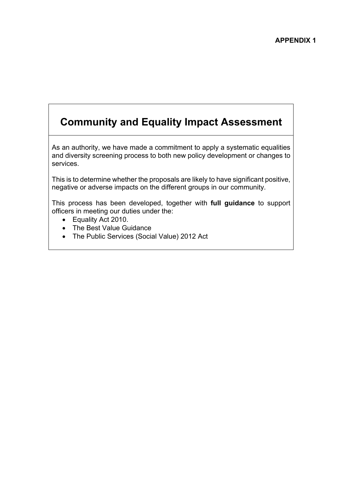# **Community and Equality Impact Assessment**

As an authority, we have made a commitment to apply a systematic equalities and diversity screening process to both new policy development or changes to services.

This is to determine whether the proposals are likely to have significant positive, negative or adverse impacts on the different groups in our community.

This process has been developed, together with **full guidance** to support officers in meeting our duties under the:

- Equality Act 2010.
- The Best Value Guidance
- The Public Services (Social Value) 2012 Act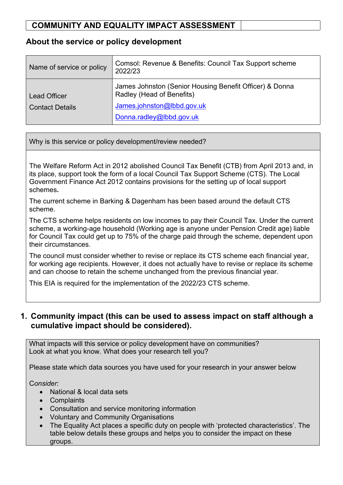#### **About the service or policy development**

| Name of service or policy | Comsol: Revenue & Benefits: Council Tax Support scheme<br>2022/23                    |
|---------------------------|--------------------------------------------------------------------------------------|
| <b>Lead Officer</b>       | James Johnston (Senior Housing Benefit Officer) & Donna<br>Radley (Head of Benefits) |
| Contact Details           | James.johnston@lbbd.gov.uk                                                           |
|                           | Donna.radley@lbbd.gov.uk                                                             |

Why is this service or policy development/review needed?

The Welfare Reform Act in 2012 abolished Council Tax Benefit (CTB) from April 2013 and, in its place, support took the form of a local Council Tax Support Scheme (CTS). The Local Government Finance Act 2012 contains provisions for the setting up of local support schemes**.**

The current scheme in Barking & Dagenham has been based around the default CTS scheme.

The CTS scheme helps residents on low incomes to pay their Council Tax. Under the current scheme, a working-age household (Working age is anyone under Pension Credit age) liable for Council Tax could get up to 75% of the charge paid through the scheme, dependent upon their circumstances.

The council must consider whether to revise or replace its CTS scheme each financial year, for working age recipients. However, it does not actually have to revise or replace its scheme and can choose to retain the scheme unchanged from the previous financial year.

This EIA is required for the implementation of the 2022/23 CTS scheme.

#### **1. Community impact (this can be used to assess impact on staff although a cumulative impact should be considered).**

What impacts will this service or policy development have on communities? Look at what you know. What does your research tell you?

Please state which data sources you have used for your research in your answer below

C*onsider:*

- National & local data sets
- Complaints
- Consultation and service monitoring information
- Voluntary and Community Organisations
- The Equality Act places a specific duty on people with 'protected characteristics'. The table below details these groups and helps you to consider the impact on these groups.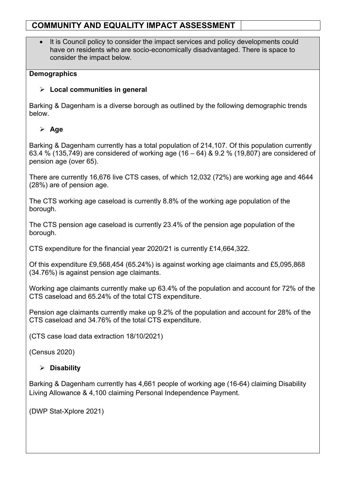It is Council policy to consider the impact services and policy developments could have on residents who are socio-economically disadvantaged. There is space to consider the impact below.

#### **Demographics**

#### **Local communities in general**

Barking & Dagenham is a diverse borough as outlined by the following demographic trends below.

#### **Age**

Barking & Dagenham currently has a total population of 214,107. Of this population currently 63.4 % (135,749) are considered of working age (16 – 64) & 9.2 % (19,807) are considered of pension age (over 65).

There are currently 16,676 live CTS cases, of which 12,032 (72%) are working age and 4644 (28%) are of pension age.

The CTS working age caseload is currently 8.8% of the working age population of the borough.

The CTS pension age caseload is currently 23.4% of the pension age population of the borough.

CTS expenditure for the financial year 2020/21 is currently £14,664,322.

Of this expenditure £9,568,454 (65.24%) is against working age claimants and £5,095,868 (34.76%) is against pension age claimants.

Working age claimants currently make up 63.4% of the population and account for 72% of the CTS caseload and 65.24% of the total CTS expenditure.

Pension age claimants currently make up 9.2% of the population and account for 28% of the CTS caseload and 34.76% of the total CTS expenditure.

(CTS case load data extraction 18/10/2021)

(Census 2020)

#### **Disability**

Barking & Dagenham currently has 4,661 people of working age (16-64) claiming Disability Living Allowance & 4,100 claiming Personal Independence Payment.

(DWP Stat-Xplore 2021)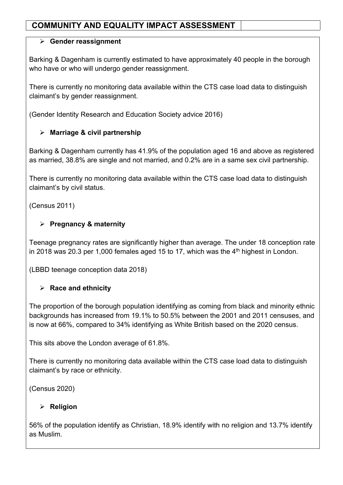#### **Gender reassignment**

Barking & Dagenham is currently estimated to have approximately 40 people in the borough who have or who will undergo gender reassignment.

There is currently no monitoring data available within the CTS case load data to distinguish claimant's by gender reassignment.

(Gender Identity Research and Education Society advice 2016)

### **Marriage & civil partnership**

Barking & Dagenham currently has 41.9% of the population aged 16 and above as registered as married, 38.8% are single and not married, and 0.2% are in a same sex civil partnership.

There is currently no monitoring data available within the CTS case load data to distinguish claimant's by civil status.

(Census 2011)

### **Pregnancy & maternity**

Teenage pregnancy rates are significantly higher than average. The under 18 conception rate in 2018 was 20.3 per 1,000 females aged 15 to 17, which was the  $4<sup>th</sup>$  highest in London.

(LBBD teenage conception data 2018)

### **Race and ethnicity**

The proportion of the borough population identifying as coming from black and minority ethnic backgrounds has increased from 19.1% to 50.5% between the 2001 and 2011 censuses, and is now at 66%, compared to 34% identifying as White British based on the 2020 census.

This sits above the London average of 61.8%.

There is currently no monitoring data available within the CTS case load data to distinguish claimant's by race or ethnicity.

(Census 2020)

### **Religion**

56% of the population identify as Christian, 18.9% identify with no religion and 13.7% identify as Muslim.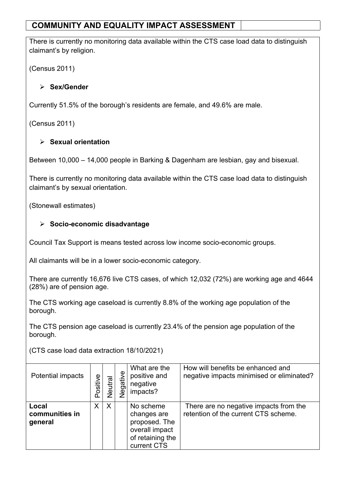There is currently no monitoring data available within the CTS case load data to distinguish claimant's by religion.

(Census 2011)

#### **Sex/Gender**

Currently 51.5% of the borough's residents are female, and 49.6% are male.

(Census 2011)

#### **Sexual orientation**

Between 10,000 – 14,000 people in Barking & Dagenham are lesbian, gay and bisexual.

There is currently no monitoring data available within the CTS case load data to distinguish claimant's by sexual orientation.

(Stonewall estimates)

#### **Socio-economic disadvantage**

Council Tax Support is means tested across low income socio-economic groups.

All claimants will be in a lower socio-economic category.

There are currently 16,676 live CTS cases, of which 12,032 (72%) are working age and 4644 (28%) are of pension age.

The CTS working age caseload is currently 8.8% of the working age population of the borough.

The CTS pension age caseload is currently 23.4% of the pension age population of the borough.

(CTS case load data extraction 18/10/2021)

| Potential impacts                  | Positive | utral<br>⊽<br>⊘ | Negative | What are the<br>positive and<br>negative<br>impacts?                                           | How will benefits be enhanced and<br>negative impacts minimised or eliminated? |
|------------------------------------|----------|-----------------|----------|------------------------------------------------------------------------------------------------|--------------------------------------------------------------------------------|
| Local<br>communities in<br>general | X        | X               |          | No scheme<br>changes are<br>proposed. The<br>overall impact<br>of retaining the<br>current CTS | There are no negative impacts from the<br>retention of the current CTS scheme. |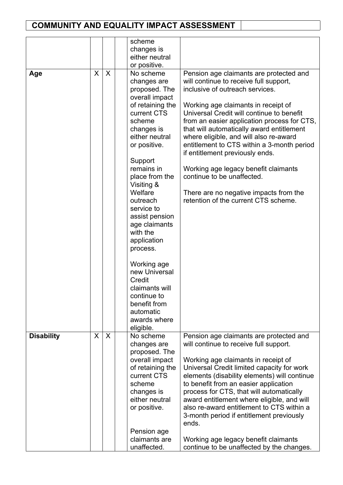|                   |   |   | scheme<br>changes is<br>either neutral<br>or positive.                                                                                                                                                                                                                                                                                                                                                                                                                |                                                                                                                                                                                                                                                                                                                                                                                                                                                                                                                                                                                         |
|-------------------|---|---|-----------------------------------------------------------------------------------------------------------------------------------------------------------------------------------------------------------------------------------------------------------------------------------------------------------------------------------------------------------------------------------------------------------------------------------------------------------------------|-----------------------------------------------------------------------------------------------------------------------------------------------------------------------------------------------------------------------------------------------------------------------------------------------------------------------------------------------------------------------------------------------------------------------------------------------------------------------------------------------------------------------------------------------------------------------------------------|
| Age               | X | X | No scheme<br>changes are<br>proposed. The<br>overall impact<br>of retaining the<br>current CTS<br>scheme<br>changes is<br>either neutral<br>or positive.<br>Support<br>remains in<br>place from the<br>Visiting &<br>Welfare<br>outreach<br>service to<br>assist pension<br>age claimants<br>with the<br>application<br>process.<br>Working age<br>new Universal<br>Credit<br>claimants will<br>continue to<br>benefit from<br>automatic<br>awards where<br>eligible. | Pension age claimants are protected and<br>will continue to receive full support,<br>inclusive of outreach services.<br>Working age claimants in receipt of<br>Universal Credit will continue to benefit<br>from an easier application process for CTS,<br>that will automatically award entitlement<br>where eligible, and will also re-award<br>entitlement to CTS within a 3-month period<br>if entitlement previously ends.<br>Working age legacy benefit claimants<br>continue to be unaffected.<br>There are no negative impacts from the<br>retention of the current CTS scheme. |
| <b>Disability</b> | X | X | No scheme<br>changes are<br>proposed. The<br>overall impact<br>of retaining the<br>current CTS<br>scheme<br>changes is<br>either neutral<br>or positive.<br>Pension age<br>claimants are<br>unaffected.                                                                                                                                                                                                                                                               | Pension age claimants are protected and<br>will continue to receive full support.<br>Working age claimants in receipt of<br>Universal Credit limited capacity for work<br>elements (disability elements) will continue<br>to benefit from an easier application<br>process for CTS, that will automatically<br>award entitlement where eligible, and will<br>also re-award entitlement to CTS within a<br>3-month period if entitlement previously<br>ends.<br>Working age legacy benefit claimants<br>continue to be unaffected by the changes.                                        |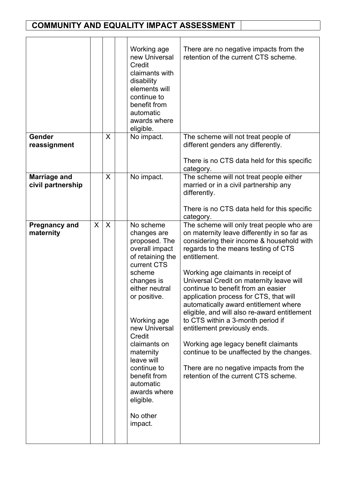|                                          |   |              | Working age<br>new Universal<br>Credit<br>claimants with<br>disability<br>elements will<br>continue to<br>benefit from<br>automatic<br>awards where<br>eligible.                                                                                                                                                                              | There are no negative impacts from the<br>retention of the current CTS scheme.                                                                                                                                                                                                                                                                                                                                                                                                                                                                                                                                                                                                                       |
|------------------------------------------|---|--------------|-----------------------------------------------------------------------------------------------------------------------------------------------------------------------------------------------------------------------------------------------------------------------------------------------------------------------------------------------|------------------------------------------------------------------------------------------------------------------------------------------------------------------------------------------------------------------------------------------------------------------------------------------------------------------------------------------------------------------------------------------------------------------------------------------------------------------------------------------------------------------------------------------------------------------------------------------------------------------------------------------------------------------------------------------------------|
| Gender<br>reassignment                   |   | $\mathsf{X}$ | No impact.                                                                                                                                                                                                                                                                                                                                    | The scheme will not treat people of<br>different genders any differently.<br>There is no CTS data held for this specific<br>category.                                                                                                                                                                                                                                                                                                                                                                                                                                                                                                                                                                |
| <b>Marriage and</b><br>civil partnership |   | $\mathsf{X}$ | No impact.                                                                                                                                                                                                                                                                                                                                    | The scheme will not treat people either<br>married or in a civil partnership any<br>differently.<br>There is no CTS data held for this specific<br>category.                                                                                                                                                                                                                                                                                                                                                                                                                                                                                                                                         |
| <b>Pregnancy and</b><br>maternity        | X | $\sf X$      | No scheme<br>changes are<br>proposed. The<br>overall impact<br>of retaining the<br>current CTS<br>scheme<br>changes is<br>either neutral<br>or positive.<br>Working age<br>new Universal<br>Credit<br>claimants on<br>maternity<br>leave will<br>continue to<br>benefit from<br>automatic<br>awards where<br>eligible.<br>No other<br>impact. | The scheme will only treat people who are<br>on maternity leave differently in so far as<br>considering their income & household with<br>regards to the means testing of CTS<br>entitlement.<br>Working age claimants in receipt of<br>Universal Credit on maternity leave will<br>continue to benefit from an easier<br>application process for CTS, that will<br>automatically award entitlement where<br>eligible, and will also re-award entitlement<br>to CTS within a 3-month period if<br>entitlement previously ends.<br>Working age legacy benefit claimants<br>continue to be unaffected by the changes.<br>There are no negative impacts from the<br>retention of the current CTS scheme. |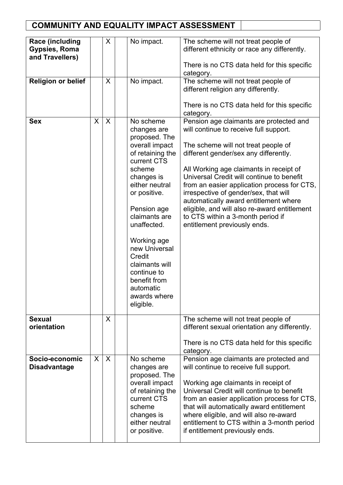| <b>Race (including</b><br><b>Gypsies, Roma</b><br>and Travellers) |   | X | No impact.                                                                                                                                                                                                                                                                                                                                   | The scheme will not treat people of<br>different ethnicity or race any differently.<br>There is no CTS data held for this specific<br>category.                                                                                                                                                                                                                                                                                                                                                                 |
|-------------------------------------------------------------------|---|---|----------------------------------------------------------------------------------------------------------------------------------------------------------------------------------------------------------------------------------------------------------------------------------------------------------------------------------------------|-----------------------------------------------------------------------------------------------------------------------------------------------------------------------------------------------------------------------------------------------------------------------------------------------------------------------------------------------------------------------------------------------------------------------------------------------------------------------------------------------------------------|
| <b>Religion or belief</b>                                         |   | X | No impact.                                                                                                                                                                                                                                                                                                                                   | The scheme will not treat people of<br>different religion any differently.<br>There is no CTS data held for this specific<br>category.                                                                                                                                                                                                                                                                                                                                                                          |
| <b>Sex</b>                                                        | X | X | No scheme<br>changes are<br>proposed. The<br>overall impact<br>of retaining the<br>current CTS<br>scheme<br>changes is<br>either neutral<br>or positive.<br>Pension age<br>claimants are<br>unaffected.<br>Working age<br>new Universal<br>Credit<br>claimants will<br>continue to<br>benefit from<br>automatic<br>awards where<br>eligible. | Pension age claimants are protected and<br>will continue to receive full support.<br>The scheme will not treat people of<br>different gender/sex any differently.<br>All Working age claimants in receipt of<br>Universal Credit will continue to benefit<br>from an easier application process for CTS,<br>irrespective of gender/sex, that will<br>automatically award entitlement where<br>eligible, and will also re-award entitlement<br>to CTS within a 3-month period if<br>entitlement previously ends. |
| <b>Sexual</b><br>orientation                                      |   | X |                                                                                                                                                                                                                                                                                                                                              | The scheme will not treat people of<br>different sexual orientation any differently.<br>There is no CTS data held for this specific<br>category.                                                                                                                                                                                                                                                                                                                                                                |
| Socio-economic<br><b>Disadvantage</b>                             | X | X | No scheme<br>changes are<br>proposed. The<br>overall impact<br>of retaining the<br>current CTS<br>scheme<br>changes is<br>either neutral<br>or positive.                                                                                                                                                                                     | Pension age claimants are protected and<br>will continue to receive full support.<br>Working age claimants in receipt of<br>Universal Credit will continue to benefit<br>from an easier application process for CTS,<br>that will automatically award entitlement<br>where eligible, and will also re-award<br>entitlement to CTS within a 3-month period<br>if entitlement previously ends.                                                                                                                    |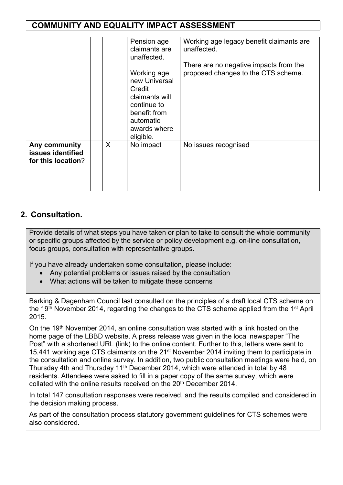|                                                          |   | Pension age<br>claimants are<br>unaffected.<br>Working age<br>new Universal<br>Credit<br>claimants will<br>continue to<br>benefit from<br>automatic<br>awards where<br>eligible. | Working age legacy benefit claimants are<br>unaffected.<br>There are no negative impacts from the<br>proposed changes to the CTS scheme. |
|----------------------------------------------------------|---|----------------------------------------------------------------------------------------------------------------------------------------------------------------------------------|------------------------------------------------------------------------------------------------------------------------------------------|
| Any community<br>issues identified<br>for this location? | X | No impact                                                                                                                                                                        | No issues recognised                                                                                                                     |

### **2. Consultation.**

Provide details of what steps you have taken or plan to take to consult the whole community or specific groups affected by the service or policy development e.g. on-line consultation, focus groups, consultation with representative groups.

If you have already undertaken some consultation, please include:

- Any potential problems or issues raised by the consultation
- What actions will be taken to mitigate these concerns

Barking & Dagenham Council last consulted on the principles of a draft local CTS scheme on the 19<sup>th</sup> November 2014, regarding the changes to the CTS scheme applied from the 1<sup>st</sup> April 2015.

On the 19<sup>th</sup> November 2014, an online consultation was started with a link hosted on the home page of the LBBD website. A press release was given in the local newspaper "The Post" with a shortened URL (link) to the online content. Further to this, letters were sent to 15,441 working age CTS claimants on the 21<sup>st</sup> November 2014 inviting them to participate in the consultation and online survey. In addition, two public consultation meetings were held, on Thursday 4th and Thursday 11<sup>th</sup> December 2014, which were attended in total by 48 residents. Attendees were asked to fill in a paper copy of the same survey, which were collated with the online results received on the 20<sup>th</sup> December 2014.

In total 147 consultation responses were received, and the results compiled and considered in the decision making process.

As part of the consultation process statutory government guidelines for CTS schemes were also considered.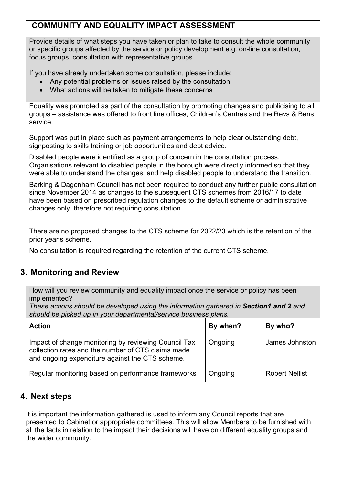Provide details of what steps you have taken or plan to take to consult the whole community or specific groups affected by the service or policy development e.g. on-line consultation, focus groups, consultation with representative groups.

If you have already undertaken some consultation, please include:

- Any potential problems or issues raised by the consultation
- What actions will be taken to mitigate these concerns

Equality was promoted as part of the consultation by promoting changes and publicising to all groups – assistance was offered to front line offices, Children's Centres and the Revs & Bens service.

Support was put in place such as payment arrangements to help clear outstanding debt, signposting to skills training or job opportunities and debt advice.

Disabled people were identified as a group of concern in the consultation process. Organisations relevant to disabled people in the borough were directly informed so that they were able to understand the changes, and help disabled people to understand the transition.

Barking & Dagenham Council has not been required to conduct any further public consultation since November 2014 as changes to the subsequent CTS schemes from 2016/17 to date have been based on prescribed regulation changes to the default scheme or administrative changes only, therefore not requiring consultation.

There are no proposed changes to the CTS scheme for 2022/23 which is the retention of the prior year's scheme.

No consultation is required regarding the retention of the current CTS scheme.

### **3. Monitoring and Review**

How will you review community and equality impact once the service or policy has been implemented?

*These actions should be developed using the information gathered in Section1 and 2 and should be picked up in your departmental/service business plans.*

| <b>Action</b>                                                                                                                                                 | By when? | By who?               |
|---------------------------------------------------------------------------------------------------------------------------------------------------------------|----------|-----------------------|
| Impact of change monitoring by reviewing Council Tax<br>collection rates and the number of CTS claims made<br>and ongoing expenditure against the CTS scheme. | Ongoing  | James Johnston        |
| Regular monitoring based on performance frameworks                                                                                                            | Ongoing  | <b>Robert Nellist</b> |

### **4. Next steps**

It is important the information gathered is used to inform any Council reports that are presented to Cabinet or appropriate committees. This will allow Members to be furnished with all the facts in relation to the impact their decisions will have on different equality groups and the wider community.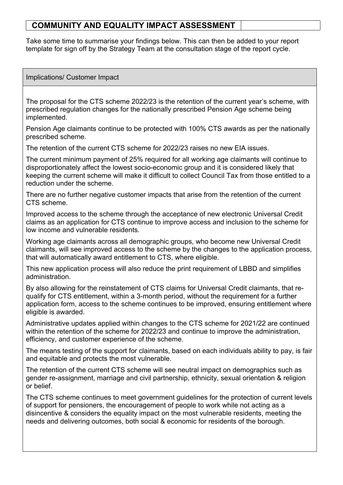Take some time to summarise your findings below. This can then be added to your report template for sign off by the Strategy Team at the consultation stage of the report cycle.

Implications/ Customer Impact

The proposal for the CTS scheme 2022/23 is the retention of the current year's scheme, with prescribed regulation changes for the nationally prescribed Pension Age scheme being implemented.

Pension Age claimants continue to be protected with 100% CTS awards as per the nationally prescribed scheme.

The retention of the current CTS scheme for 2022/23 raises no new EIA issues.

The current minimum payment of 25% required for all working age claimants will continue to disproportionately affect the lowest socio-economic group and it is considered likely that keeping the current scheme will make it difficult to collect Council Tax from those entitled to a reduction under the scheme.

There are no further negative customer impacts that arise from the retention of the current CTS scheme.

Improved access to the scheme through the acceptance of new electronic Universal Credit claims as an application for CTS continue to improve access and inclusion to the scheme for low income and vulnerable residents.

Working age claimants across all demographic groups, who become new Universal Credit claimants, will see improved access to the scheme by the changes to the application process, that will automatically award entitlement to CTS, where eligible.

This new application process will also reduce the print requirement of LBBD and simplifies administration.

By also allowing for the reinstatement of CTS claims for Universal Credit claimants, that requalify for CTS entitlement, within a 3-month period, without the requirement for a further application form, access to the scheme continues to be improved, ensuring entitlement where eligible is awarded.

Administrative updates applied within changes to the CTS scheme for 2021/22 are continued within the retention of the scheme for 2022/23 and continue to improve the administration, efficiency, and customer experience of the scheme.

The means testing of the support for claimants, based on each individuals ability to pay, is fair and equitable and protects the most vulnerable.

The retention of the current CTS scheme will see neutral impact on demographics such as gender re-assignment, marriage and civil partnership, ethnicity, sexual orientation & religion or belief.

The CTS scheme continues to meet government guidelines for the protection of current levels of support for pensioners, the encouragement of people to work while not acting as a disincentive & considers the equality impact on the most vulnerable residents, meeting the needs and delivering outcomes, both social & economic for residents of the borough.